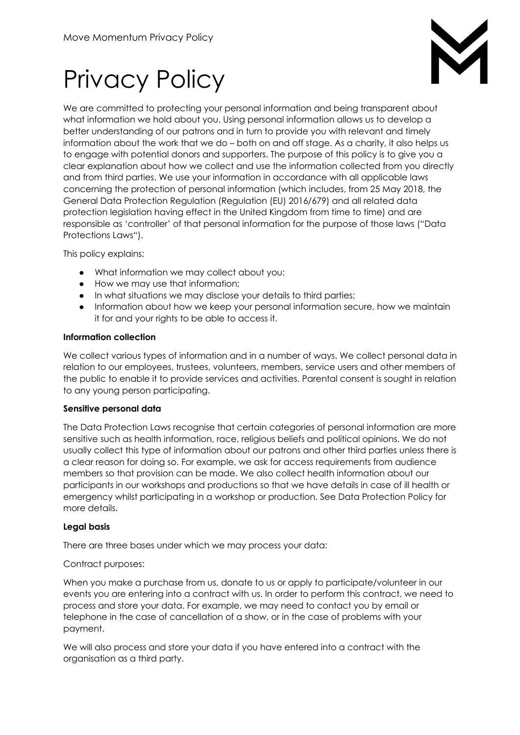

# Privacy Policy

We are committed to protecting your personal information and being transparent about what information we hold about you. Using personal information allows us to develop a better understanding of our patrons and in turn to provide you with relevant and timely information about the work that we do – both on and off stage. As a charity, it also helps us to engage with potential donors and supporters. The purpose of this policy is to give you a clear explanation about how we collect and use the information collected from you directly and from third parties. We use your information in accordance with all applicable laws concerning the protection of personal information (which includes, from 25 May 2018, the General Data Protection Regulation (Regulation (EU) 2016/679) and all related data protection legislation having effect in the United Kingdom from time to time) and are responsible as 'controller' of that personal information for the purpose of those laws ("Data Protections Laws").

This policy explains:

- What information we may collect about you;
- How we may use that information;
- In what situations we may disclose your details to third parties;
- Information about how we keep your personal information secure, how we maintain it for and your rights to be able to access it.

#### **Information collection**

We collect various types of information and in a number of ways. We collect personal data in relation to our employees, trustees, volunteers, members, service users and other members of the public to enable it to provide services and activities. Parental consent is sought in relation to any young person participating.

#### **Sensitive personal data**

The Data Protection Laws recognise that certain categories of personal information are more sensitive such as health information, race, religious beliefs and political opinions. We do not usually collect this type of information about our patrons and other third parties unless there is a clear reason for doing so. For example, we ask for access requirements from audience members so that provision can be made. We also collect health information about our participants in our workshops and productions so that we have details in case of ill health or emergency whilst participating in a workshop or production. See Data Protection Policy for more details.

# **Legal basis**

There are three bases under which we may process your data:

# Contract purposes:

When you make a purchase from us, donate to us or apply to participate/volunteer in our events you are entering into a contract with us. In order to perform this contract, we need to process and store your data. For example, we may need to contact you by email or telephone in the case of cancellation of a show, or in the case of problems with your payment.

We will also process and store your data if you have entered into a contract with the organisation as a third party.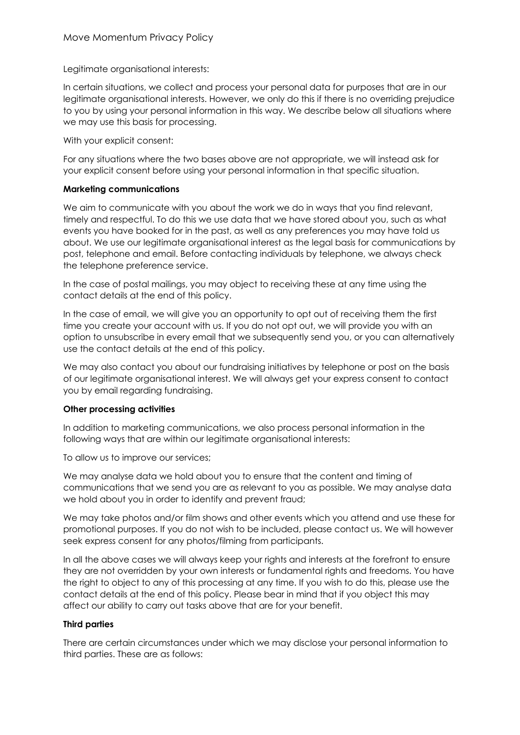Legitimate organisational interests:

In certain situations, we collect and process your personal data for purposes that are in our legitimate organisational interests. However, we only do this if there is no overriding prejudice to you by using your personal information in this way. We describe below all situations where we may use this basis for processing.

With your explicit consent:

For any situations where the two bases above are not appropriate, we will instead ask for your explicit consent before using your personal information in that specific situation.

#### **Marketing communications**

We aim to communicate with you about the work we do in ways that you find relevant, timely and respectful. To do this we use data that we have stored about you, such as what events you have booked for in the past, as well as any preferences you may have told us about. We use our legitimate organisational interest as the legal basis for communications by post, telephone and email. Before contacting individuals by telephone, we always check the telephone preference service.

In the case of postal mailings, you may object to receiving these at any time using the contact details at the end of this policy.

In the case of email, we will give you an opportunity to opt out of receiving them the first time you create your account with us. If you do not opt out, we will provide you with an option to unsubscribe in every email that we subsequently send you, or you can alternatively use the contact details at the end of this policy.

We may also contact you about our fundraising initiatives by telephone or post on the basis of our legitimate organisational interest. We will always get your express consent to contact you by email regarding fundraising.

# **Other processing activities**

In addition to marketing communications, we also process personal information in the following ways that are within our legitimate organisational interests:

To allow us to improve our services;

We may analyse data we hold about you to ensure that the content and timing of communications that we send you are as relevant to you as possible. We may analyse data we hold about you in order to identify and prevent fraud;

We may take photos and/or film shows and other events which you attend and use these for promotional purposes. If you do not wish to be included, please contact us. We will however seek express consent for any photos/filming from participants.

In all the above cases we will always keep your rights and interests at the forefront to ensure they are not overridden by your own interests or fundamental rights and freedoms. You have the right to object to any of this processing at any time. If you wish to do this, please use the contact details at the end of this policy. Please bear in mind that if you object this may affect our ability to carry out tasks above that are for your benefit.

# **Third parties**

There are certain circumstances under which we may disclose your personal information to third parties. These are as follows: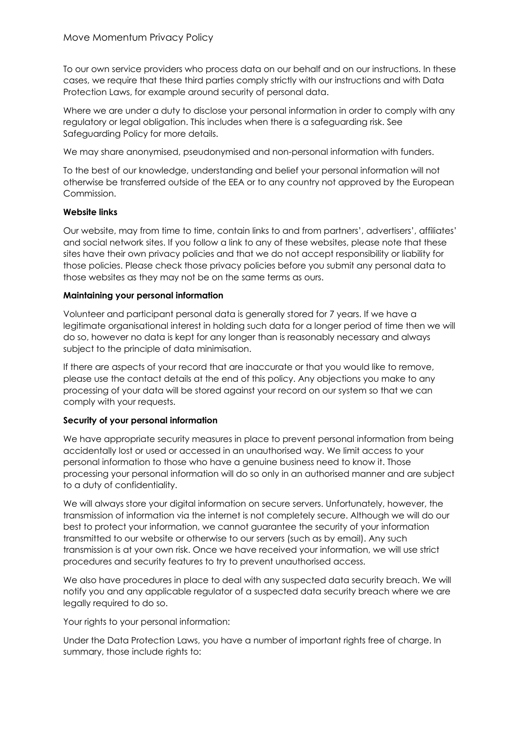To our own service providers who process data on our behalf and on our instructions. In these cases, we require that these third parties comply strictly with our instructions and with Data Protection Laws, for example around security of personal data.

Where we are under a duty to disclose your personal information in order to comply with any regulatory or legal obligation. This includes when there is a safeguarding risk. See Safeguarding Policy for more details.

We may share anonymised, pseudonymised and non-personal information with funders.

To the best of our knowledge, understanding and belief your personal information will not otherwise be transferred outside of the EEA or to any country not approved by the European Commission.

#### **Website links**

Our website, may from time to time, contain links to and from partners', advertisers', affiliates' and social network sites. If you follow a link to any of these websites, please note that these sites have their own privacy policies and that we do not accept responsibility or liability for those policies. Please check those privacy policies before you submit any personal data to those websites as they may not be on the same terms as ours.

#### **Maintaining your personal information**

Volunteer and participant personal data is generally stored for 7 years. If we have a legitimate organisational interest in holding such data for a longer period of time then we will do so, however no data is kept for any longer than is reasonably necessary and always subject to the principle of data minimisation.

If there are aspects of your record that are inaccurate or that you would like to remove, please use the contact details at the end of this policy. Any objections you make to any processing of your data will be stored against your record on our system so that we can comply with your requests.

# **Security of your personal information**

We have appropriate security measures in place to prevent personal information from being accidentally lost or used or accessed in an unauthorised way. We limit access to your personal information to those who have a genuine business need to know it. Those processing your personal information will do so only in an authorised manner and are subject to a duty of confidentiality.

We will always store your digital information on secure servers. Unfortunately, however, the transmission of information via the internet is not completely secure. Although we will do our best to protect your information, we cannot guarantee the security of your information transmitted to our website or otherwise to our servers (such as by email). Any such transmission is at your own risk. Once we have received your information, we will use strict procedures and security features to try to prevent unauthorised access.

We also have procedures in place to deal with any suspected data security breach. We will notify you and any applicable regulator of a suspected data security breach where we are legally required to do so.

Your rights to your personal information:

Under the Data Protection Laws, you have a number of important rights free of charge. In summary, those include rights to: